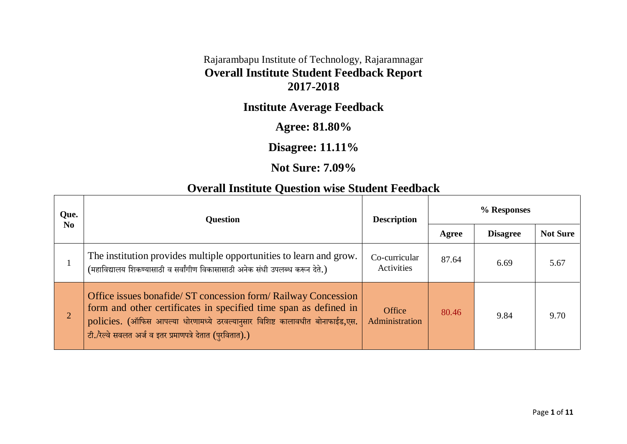#### Rajarambapu Institute of Technology, Rajaramnagar **Overall Institute Student Feedback Report 2017-2018**

# **Institute Average Feedback**

### **Agree: 81.80%**

### **Disagree: 11.11%**

#### **Not Sure: 7.09%**

## **Overall Institute Question wise Student Feedback**

| Que.<br>N <sub>0</sub> | <b>Question</b>                                                                                                                                                                                                                                                                 | <b>Description</b>          | % Responses |                 |                 |
|------------------------|---------------------------------------------------------------------------------------------------------------------------------------------------------------------------------------------------------------------------------------------------------------------------------|-----------------------------|-------------|-----------------|-----------------|
|                        |                                                                                                                                                                                                                                                                                 |                             | Agree       | <b>Disagree</b> | <b>Not Sure</b> |
|                        | The institution provides multiple opportunities to learn and grow.<br>(महाविद्यालय शिकण्यासाठी व सर्वांगीण विकासासाठी अनेक संधी उपलब्ध करून देते.)                                                                                                                              | Co-curricular<br>Activities | 87.64       | 6.69            | 5.67            |
| $\overline{2}$         | Office issues bonafide/ ST concession form/ Railway Concession<br>form and other certificates in specified time span as defined in<br>policies. (ऑफिस आपल्या धोरणामध्ये ठरवल्यानुसार विशिष्ट कालावधीत बोनाफाईड,एस.<br>टी./रेल्वे सवलत अर्ज व इतर प्रमाणपत्रे देतात (पुरवितात).) | Office<br>Administration    | 80.46       | 9.84            | 9.70            |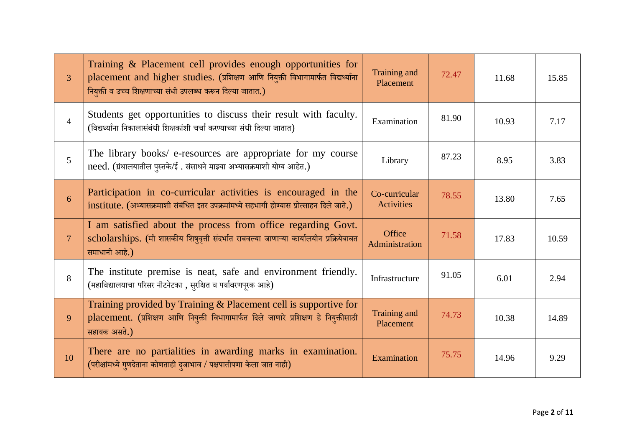| $\overline{3}$ | Training & Placement cell provides enough opportunities for<br>placement and higher studies. (प्रशिक्षण आणि नियुक्ती विभागामार्फत विद्यर्थ्याना<br>नियुक्ती व उच्च शिक्षणाच्या संधी उपलब्ध करून दिल्या जातात.) | Training and<br>Placement          | 72.47 | 11.68 | 15.85 |
|----------------|----------------------------------------------------------------------------------------------------------------------------------------------------------------------------------------------------------------|------------------------------------|-------|-------|-------|
| $\overline{4}$ | Students get opportunities to discuss their result with faculty.<br>(विद्यर्थ्याना निकालासंबंधी शिक्षकांशी चर्चा करण्याच्या संधी दिल्या जातात)                                                                 | Examination                        | 81.90 | 10.93 | 7.17  |
| $\mathfrak{H}$ | The library books/ e-resources are appropriate for my course<br>need. (ग्रंथालयातील पुस्तके/ई. संसाधने माझ्या अभ्यासक्रमाशी योग्य आहेत.)                                                                       | Library                            | 87.23 | 8.95  | 3.83  |
| 6              | Participation in co-curricular activities is encouraged in the<br>institute. (अभ्यासक्रमाशी संबंधित इतर उपक्रमांमध्ये सहभागी होण्यास प्रोत्साहन दिले जाते.)                                                    | Co-curricular<br><b>Activities</b> | 78.55 | 13.80 | 7.65  |
| $\overline{7}$ | I am satisfied about the process from office regarding Govt.<br>scholarships. (मी शासकीय शिषुवृत्ती संदर्भात राबवल्या जाणाऱ्या कार्यालयीन प्रक्रियेबाबत<br>समाधानी आहे.)                                       | Office<br>Administration           | 71.58 | 17.83 | 10.59 |
| 8              | The institute premise is neat, safe and environment friendly.<br>(महाविद्यालयाचा परिसर नीटनेटका, सुरक्षित व पर्यावरणपूरक आहे)                                                                                  | Infrastructure                     | 91.05 | 6.01  | 2.94  |
| 9              | Training provided by Training & Placement cell is supportive for<br>placement. (प्रशिक्षण आणि नियुक्ती विभागामार्फत दिले जाणारे प्रशिक्षण हे नियुक्तीसाठी<br>सहायक असते.)                                      | Training and<br>Placement          | 74.73 | 10.38 | 14.89 |
| 10             | There are no partialities in awarding marks in examination.<br>(परीक्षांमध्ये गुणदेताना कोणताही दुजाभाव / पक्षपातीपणा केला जात नाही)                                                                           | Examination                        | 75.75 | 14.96 | 9.29  |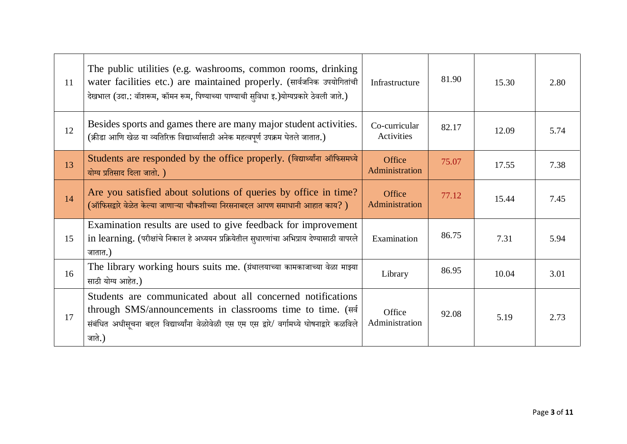| 11 | The public utilities (e.g. washrooms, common rooms, drinking<br>water facilities etc.) are maintained properly. (सार्वजनिक उपयोगितांची<br>देखभाल (उदा.: वॉशरूम, कॉमन रूम, पिण्याच्या पाण्याची सुविधा इ.)योग्यप्रकारे ठेवली जाते.)      | Infrastructure              | 81.90 | 15.30 | 2.80 |
|----|----------------------------------------------------------------------------------------------------------------------------------------------------------------------------------------------------------------------------------------|-----------------------------|-------|-------|------|
| 12 | Besides sports and games there are many major student activities.<br>(क्रीडा आणि खेळ या व्यतिरिक्त विद्यार्थ्यासाठी अनेक महत्वपूर्ण उपक्रम घेतले जातात.)                                                                               | Co-curricular<br>Activities | 82.17 | 12.09 | 5.74 |
| 13 | Students are responded by the office properly. (विद्यार्थ्यांना ऑफिसमध्ये<br>योग्य प्रतिसाद दिला जातो.)                                                                                                                                | Office<br>Administration    | 75.07 | 17.55 | 7.38 |
| 14 | Are you satisfied about solutions of queries by office in time?<br>(ऑफिसद्वारे वेळेत केल्या जाणाऱ्या चौकशीच्या निरसनाबद्दल आपण समाधानी आहात काय?)                                                                                      | Office<br>Administration    | 77.12 | 15.44 | 7.45 |
| 15 | Examination results are used to give feedback for improvement<br>in learning. (परीक्षांचे निकाल हे अध्ययन प्रक्रियेतील सुधारणांचा अभिप्राय देण्यासाठी वापरले<br>जातात.)                                                                | Examination                 | 86.75 | 7.31  | 5.94 |
| 16 | The library working hours suits me. (ग्रंथालयाच्या कामकाजाच्या वेळा माझ्या<br>साठी योग्य आहेत.)                                                                                                                                        | Library                     | 86.95 | 10.04 | 3.01 |
| 17 | Students are communicated about all concerned notifications<br>through SMS/announcements in classrooms time to time. (सर्व<br>संबंधित अधीसूचना बद्दल विद्यार्थ्यांना वेळोवेळी एस एम एस द्वारे/ वर्गामध्ये घोषनाद्वारे कळविले<br>जाते.) | Office<br>Administration    | 92.08 | 5.19  | 2.73 |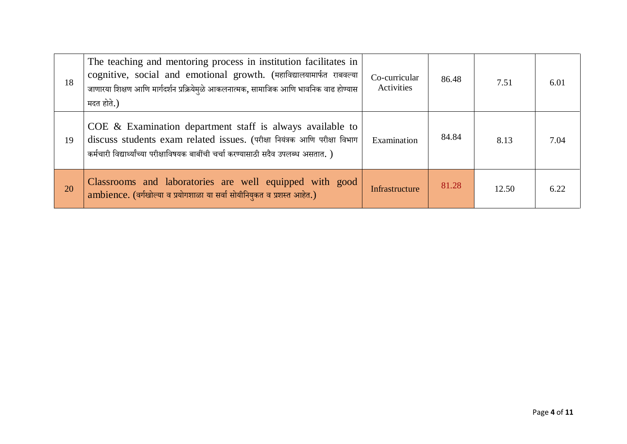| 18 | The teaching and mentoring process in institution facilitates in<br>cognitive, social and emotional growth. (महाविद्यालयामार्फत राबवल्या<br>जाणारया शिक्षण आणि मार्गदर्शन प्रक्रियेमुळे आकलनात्मक, सामाजिक आणि भावनिक वाढ होण्यास<br>मदत होते.) | Co-curricular<br>Activities | 86.48 | 7.51  | 6.01 |
|----|-------------------------------------------------------------------------------------------------------------------------------------------------------------------------------------------------------------------------------------------------|-----------------------------|-------|-------|------|
| 19 | $COE \&$ Examination department staff is always available to<br>discuss students exam related issues. (परीक्षा नियंत्रक आणि परीक्षा विभाग<br>कर्मचारी विद्यार्थ्यांच्या परीक्षाविषयक बाबींची चर्चा करण्यासाठी सदैव उपलब्ध असतात. )              | Examination                 | 84.84 | 8.13  | 7.04 |
| 20 | Classrooms and laboratories are well equipped with good<br>ambience. (वर्गखोल्या व प्रयोगशाळा या सर्वा सोयीनियुकत व प्रशस्त आहेत.)                                                                                                              | Infrastructure              | 81.28 | 12.50 | 6.22 |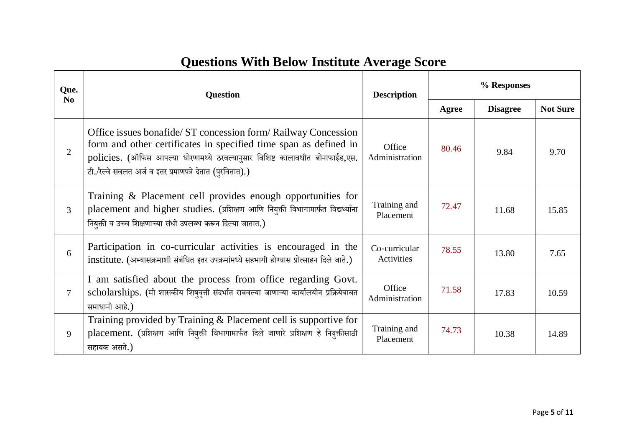# **Questions With Below Institute Average Score**

| Que.<br>N <sub>0</sub> | <b>Question</b>                                                                                                                                                                                                                                                                 | <b>Description</b>                 | % Responses |                 |                 |
|------------------------|---------------------------------------------------------------------------------------------------------------------------------------------------------------------------------------------------------------------------------------------------------------------------------|------------------------------------|-------------|-----------------|-----------------|
|                        |                                                                                                                                                                                                                                                                                 |                                    | Agree       | <b>Disagree</b> | <b>Not Sure</b> |
| $\overline{2}$         | Office issues bonafide/ ST concession form/ Railway Concession<br>form and other certificates in specified time span as defined in<br>policies. (ऑफिस आपल्या धोरणामध्ये ठरवल्यानुसार विशिष्ट कालावधीत बोनाफाईड,एस.<br>टी./रेल्वे सवलत अर्ज व इतर प्रमाणपत्रे देतात (पुरवितात).) | Office<br>Administration           | 80.46       | 9.84            | 9.70            |
| 3                      | Training & Placement cell provides enough opportunities for<br>placement and higher studies. (प्रशिक्षण आणि नियुक्ती विभागामार्फत विद्यर्थ्याना<br>नियुक्ती व उच्च शिक्षणाच्या संधी उपलब्ध करून दिल्या जातात.)                                                                  | Training and<br>Placement          | 72.47       | 11.68           | 15.85           |
| 6                      | Participation in co-curricular activities is encouraged in the<br>institute. (अभ्यासक्रमाशी संबंधित इतर उपक्रमांमध्ये सहभागी होण्यास प्रोत्साहन दिले जाते.)                                                                                                                     | Co-curricular<br><b>Activities</b> | 78.55       | 13.80           | 7.65            |
| 7                      | I am satisfied about the process from office regarding Govt.<br>scholarships. (मी शासकीय शिषुवृत्ती संदर्भात राबवल्या जाणाऱ्या कार्यालयीन प्रक्रियेबाबत<br>समाधानी आहे.)                                                                                                        | Office<br>Administration           | 71.58       | 17.83           | 10.59           |
| 9                      | Training provided by Training & Placement cell is supportive for<br>placement. (प्रशिक्षण आणि नियुक्ती विभागामार्फत दिले जाणारे प्रशिक्षण हे नियुक्तीसाठी<br>सहायक असते.)                                                                                                       | Training and<br>Placement          | 74.73       | 10.38           | 14.89           |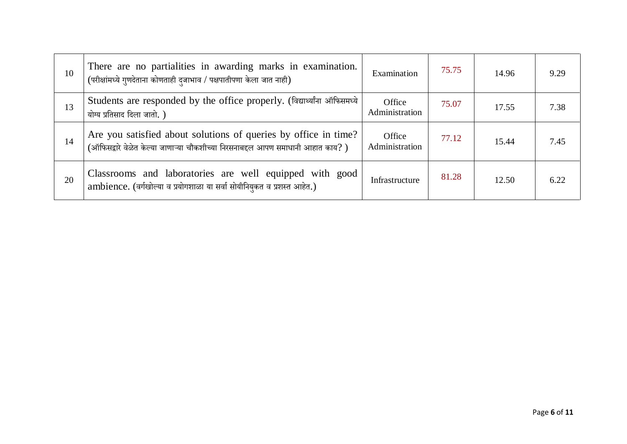| 10 | There are no partialities in awarding marks in examination.<br>(परीक्षांमध्ये गुणदेताना कोणताही द्जाभाव / पक्षपातीपणा केला जात नाही)               | Examination              | 75.75 | 14.96 | 9.29 |
|----|----------------------------------------------------------------------------------------------------------------------------------------------------|--------------------------|-------|-------|------|
| 13 | Students are responded by the office properly. (विद्यार्थ्यांना ऑफिसमध्ये<br>योग्य प्रतिसाद दिला जातो.)                                            | Office<br>Administration | 75.07 | 17.55 | 7.38 |
| 14 | Are you satisfied about solutions of queries by office in time?<br>(ऑफिसद्वारे वेळेत केल्या जाणाऱ्या चौकशीच्या निरसनाबद्दल आपण समाधानी आहात काय? ) | Office<br>Administration | 77.12 | 15.44 | 7.45 |
| 20 | Classrooms and laboratories are well equipped with good<br>ambience. (वर्गखोल्या व प्रयोगशाळा या सर्वा सोयीनियुकत व प्रशस्त आहेत.)                 | Infrastructure           | 81.28 | 12.50 | 6.22 |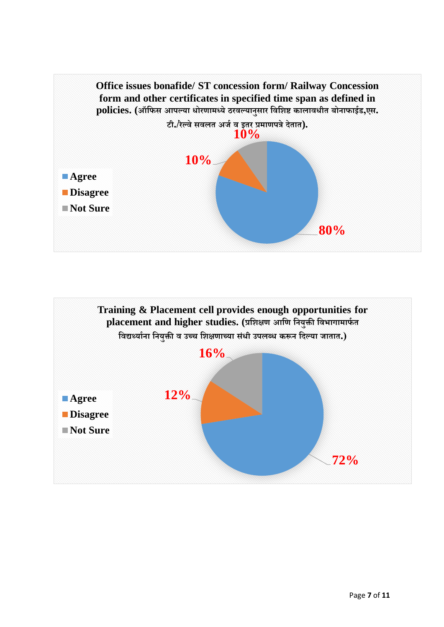

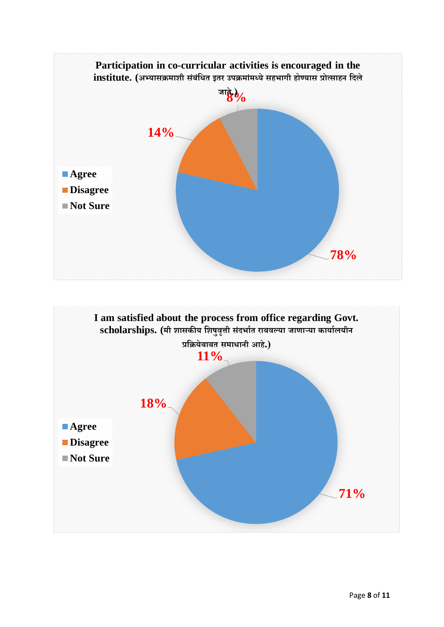

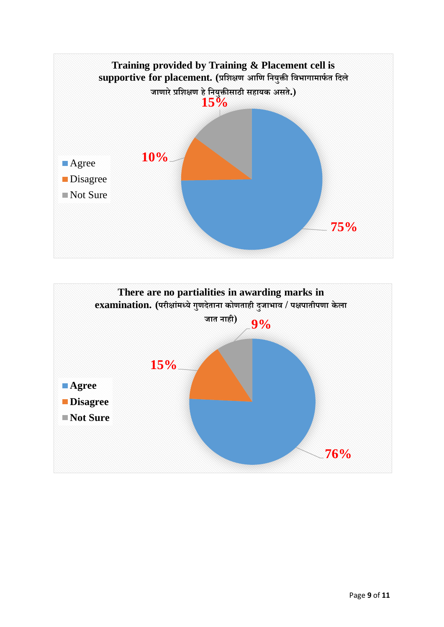

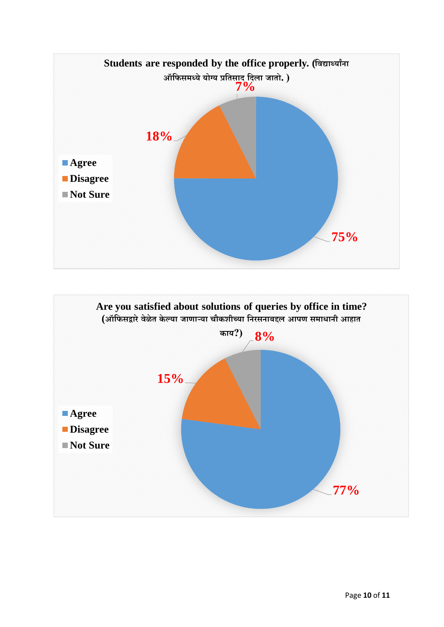